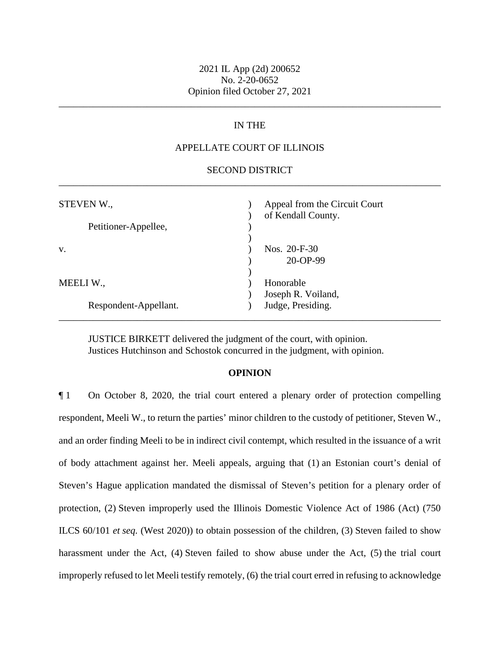## 2021 IL App (2d) 200652 No. 2-20-0652 Opinion filed October 27, 2021

\_\_\_\_\_\_\_\_\_\_\_\_\_\_\_\_\_\_\_\_\_\_\_\_\_\_\_\_\_\_\_\_\_\_\_\_\_\_\_\_\_\_\_\_\_\_\_\_\_\_\_\_\_\_\_\_\_\_\_\_\_\_\_\_\_\_\_\_\_\_\_\_\_\_\_\_\_\_

# IN THE

## APPELLATE COURT OF ILLINOIS

## \_\_\_\_\_\_\_\_\_\_\_\_\_\_\_\_\_\_\_\_\_\_\_\_\_\_\_\_\_\_\_\_\_\_\_\_\_\_\_\_\_\_\_\_\_\_\_\_\_\_\_\_\_\_\_\_\_\_\_\_\_\_\_\_\_\_\_\_\_\_\_\_\_\_\_\_\_\_ SECOND DISTRICT

| STEVEN W.,            | Appeal from the Circuit Court<br>of Kendall County. |
|-----------------------|-----------------------------------------------------|
| Petitioner-Appellee,  |                                                     |
| V.                    | Nos. $20-F-30$<br>20-OP-99                          |
| MEELI W.,             | Honorable<br>Joseph R. Voiland,                     |
| Respondent-Appellant. | Judge, Presiding.                                   |

JUSTICE BIRKETT delivered the judgment of the court, with opinion. Justices Hutchinson and Schostok concurred in the judgment, with opinion.

#### **OPINION**

 and an order finding Meeli to be in indirect civil contempt, which resulted in the issuance of a writ of body attachment against her. Meeli appeals, arguing that (1) an Estonian court's denial of Steven's Hague application mandated the dismissal of Steven's petition for a plenary order of protection, (2) Steven improperly used the Illinois Domestic Violence Act of 1986 (Act) (750 ¶ 1 On October 8, 2020, the trial court entered a plenary order of protection compelling respondent, Meeli W., to return the parties' minor children to the custody of petitioner, Steven W., ILCS 60/101 *et seq.* (West 2020)) to obtain possession of the children, (3) Steven failed to show harassment under the Act, (4) Steven failed to show abuse under the Act, (5) the trial court improperly refused to let Meeli testify remotely, (6) the trial court erred in refusing to acknowledge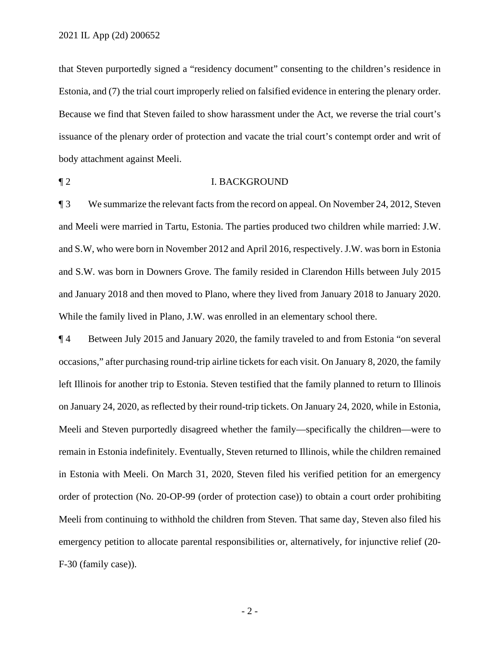that Steven purportedly signed a "residency document" consenting to the children's residence in Estonia, and (7) the trial court improperly relied on falsified evidence in entering the plenary order. Because we find that Steven failed to show harassment under the Act, we reverse the trial court's issuance of the plenary order of protection and vacate the trial court's contempt order and writ of body attachment against Meeli.

### ¶ 2 I. BACKGROUND

 and Meeli were married in Tartu, Estonia. The parties produced two children while married: J.W. While the family lived in Plano, J.W. was enrolled in an elementary school there. ¶ 3 We summarize the relevant facts from the record on appeal. On November 24, 2012, Steven and S.W, who were born in November 2012 and April 2016, respectively. J.W. was born in Estonia and S.W. was born in Downers Grove. The family resided in Clarendon Hills between July 2015 and January 2018 and then moved to Plano, where they lived from January 2018 to January 2020.

 left Illinois for another trip to Estonia. Steven testified that the family planned to return to Illinois on January 24, 2020, as reflected by their round-trip tickets. On January 24, 2020, while in Estonia, Meeli and Steven purportedly disagreed whether the family—specifically the children—were to in Estonia with Meeli. On March 31, 2020, Steven filed his verified petition for an emergency ¶ 4 Between July 2015 and January 2020, the family traveled to and from Estonia "on several occasions," after purchasing round-trip airline tickets for each visit. On January 8, 2020, the family remain in Estonia indefinitely. Eventually, Steven returned to Illinois, while the children remained order of protection (No. 20-OP-99 (order of protection case)) to obtain a court order prohibiting Meeli from continuing to withhold the children from Steven. That same day, Steven also filed his emergency petition to allocate parental responsibilities or, alternatively, for injunctive relief (20- F-30 (family case)).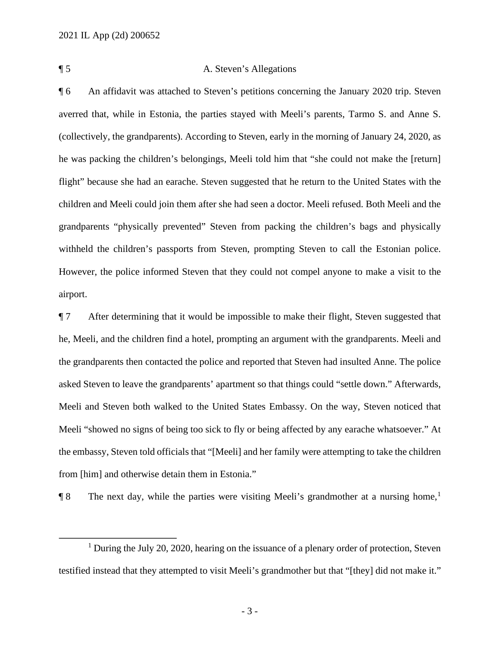## ¶ 5 A. Steven's Allegations

 ¶ 6 An affidavit was attached to Steven's petitions concerning the January 2020 trip. Steven children and Meeli could join them after she had seen a doctor. Meeli refused. Both Meeli and the However, the police informed Steven that they could not compel anyone to make a visit to the averred that, while in Estonia, the parties stayed with Meeli's parents, Tarmo S. and Anne S. (collectively, the grandparents). According to Steven, early in the morning of January 24, 2020, as he was packing the children's belongings, Meeli told him that "she could not make the [return] flight" because she had an earache. Steven suggested that he return to the United States with the grandparents "physically prevented" Steven from packing the children's bags and physically withheld the children's passports from Steven, prompting Steven to call the Estonian police. airport.

 the grandparents then contacted the police and reported that Steven had insulted Anne. The police asked Steven to leave the grandparents' apartment so that things could "settle down." Afterwards, Meeli and Steven both walked to the United States Embassy. On the way, Steven noticed that ¶ 7 After determining that it would be impossible to make their flight, Steven suggested that he, Meeli, and the children find a hotel, prompting an argument with the grandparents. Meeli and Meeli "showed no signs of being too sick to fly or being affected by any earache whatsoever." At the embassy, Steven told officials that "[Meeli] and her family were attempting to take the children from [him] and otherwise detain them in Estonia."

 $\P 8$  The next day, while the parties were visiting Meeli's grandmother at a nursing home,<sup>1</sup>

 $1$  During the July 20, 2020, hearing on the issuance of a plenary order of protection, Steven testified instead that they attempted to visit Meeli's grandmother but that "[they] did not make it."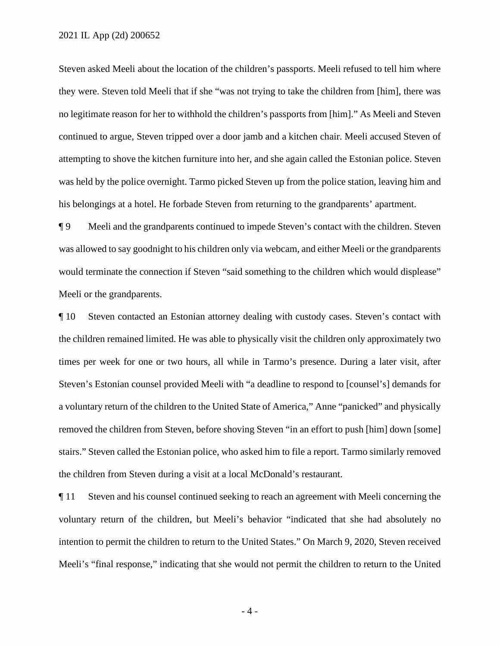Steven asked Meeli about the location of the children's passports. Meeli refused to tell him where they were. Steven told Meeli that if she "was not trying to take the children from [him], there was attempting to shove the kitchen furniture into her, and she again called the Estonian police. Steven his belongings at a hotel. He forbade Steven from returning to the grandparents' apartment. no legitimate reason for her to withhold the children's passports from [him]." As Meeli and Steven continued to argue, Steven tripped over a door jamb and a kitchen chair. Meeli accused Steven of was held by the police overnight. Tarmo picked Steven up from the police station, leaving him and

 was allowed to say goodnight to his children only via webcam, and either Meeli or the grandparents ¶ 9 Meeli and the grandparents continued to impede Steven's contact with the children. Steven would terminate the connection if Steven "said something to the children which would displease" Meeli or the grandparents.

 times per week for one or two hours, all while in Tarmo's presence. During a later visit, after Steven's Estonian counsel provided Meeli with "a deadline to respond to [counsel's] demands for the children from Steven during a visit at a local McDonald's restaurant. ¶ 10 Steven contacted an Estonian attorney dealing with custody cases. Steven's contact with the children remained limited. He was able to physically visit the children only approximately two a voluntary return of the children to the United State of America," Anne "panicked" and physically removed the children from Steven, before shoving Steven "in an effort to push [him] down [some] stairs." Steven called the Estonian police, who asked him to file a report. Tarmo similarly removed

 ¶ 11 Steven and his counsel continued seeking to reach an agreement with Meeli concerning the intention to permit the children to return to the United States." On March 9, 2020, Steven received voluntary return of the children, but Meeli's behavior "indicated that she had absolutely no Meeli's "final response," indicating that she would not permit the children to return to the United

- 4 -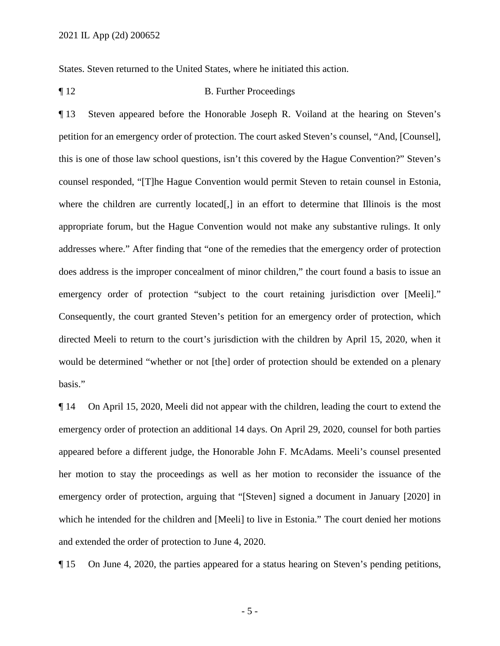States. Steven returned to the United States, where he initiated this action.

¶ 12 B. Further Proceedings

 directed Meeli to return to the court's jurisdiction with the children by April 15, 2020, when it basis." ¶ 13 Steven appeared before the Honorable Joseph R. Voiland at the hearing on Steven's petition for an emergency order of protection. The court asked Steven's counsel, "And, [Counsel], this is one of those law school questions, isn't this covered by the Hague Convention?" Steven's counsel responded, "[T]he Hague Convention would permit Steven to retain counsel in Estonia, where the children are currently located[,] in an effort to determine that Illinois is the most appropriate forum, but the Hague Convention would not make any substantive rulings. It only addresses where." After finding that "one of the remedies that the emergency order of protection does address is the improper concealment of minor children," the court found a basis to issue an emergency order of protection "subject to the court retaining jurisdiction over [Meeli]." Consequently, the court granted Steven's petition for an emergency order of protection, which would be determined "whether or not [the] order of protection should be extended on a plenary

basis."<br>¶ 14 On April 15, 2020, Meeli did not appear with the children, leading the court to extend the which he intended for the children and [Meeli] to live in Estonia." The court denied her motions emergency order of protection an additional 14 days. On April 29, 2020, counsel for both parties appeared before a different judge, the Honorable John F. McAdams. Meeli's counsel presented her motion to stay the proceedings as well as her motion to reconsider the issuance of the emergency order of protection, arguing that "[Steven] signed a document in January [2020] in and extended the order of protection to June 4, 2020.

¶ 15 On June 4, 2020, the parties appeared for a status hearing on Steven's pending petitions,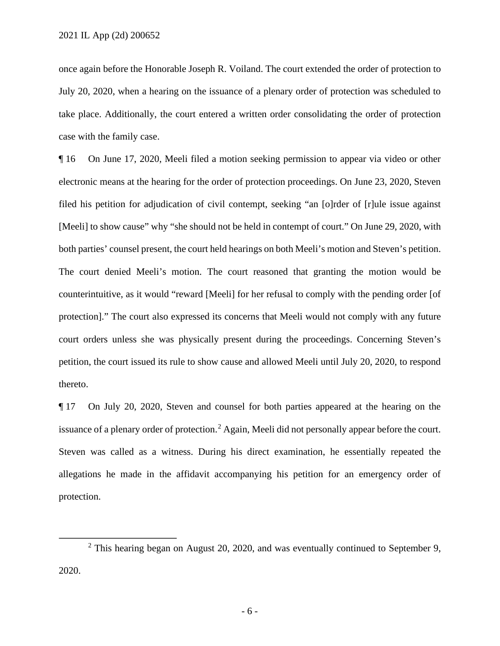July 20, 2020, when a hearing on the issuance of a plenary order of protection was scheduled to once again before the Honorable Joseph R. Voiland. The court extended the order of protection to take place. Additionally, the court entered a written order consolidating the order of protection case with the family case.

 ¶ 16 On June 17, 2020, Meeli filed a motion seeking permission to appear via video or other both parties' counsel present, the court held hearings on both Meeli's motion and Steven's petition. petition, the court issued its rule to show cause and allowed Meeli until July 20, 2020, to respond electronic means at the hearing for the order of protection proceedings. On June 23, 2020, Steven filed his petition for adjudication of civil contempt, seeking "an [o]rder of [r]ule issue against [Meeli] to show cause" why "she should not be held in contempt of court." On June 29, 2020, with The court denied Meeli's motion. The court reasoned that granting the motion would be counterintuitive, as it would "reward [Meeli] for her refusal to comply with the pending order [of protection]." The court also expressed its concerns that Meeli would not comply with any future court orders unless she was physically present during the proceedings. Concerning Steven's thereto.

issuance of a plenary order of protection.<sup>2</sup> Again, Meeli did not personally appear before the court. Steven was called as a witness. During his direct examination, he essentially repeated the allegations he made in the affidavit accompanying his petition for an emergency order of ¶ 17 On July 20, 2020, Steven and counsel for both parties appeared at the hearing on the protection.

 $2$  This hearing began on August 20, 2020, and was eventually continued to September 9, 2020.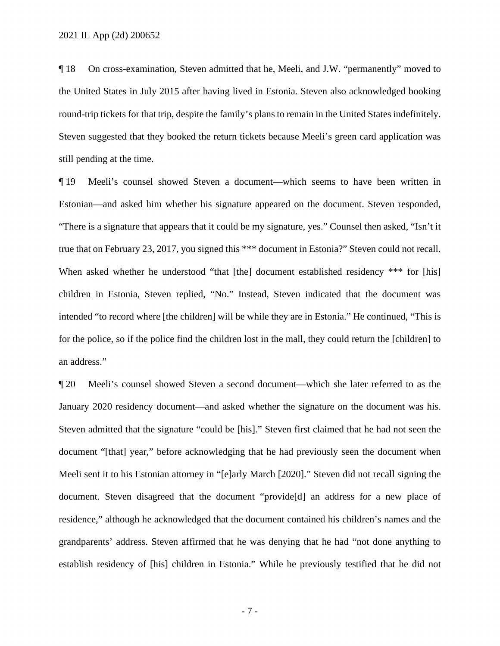still pending at the time. ¶ 18 On cross-examination, Steven admitted that he, Meeli, and J.W. "permanently" moved to the United States in July 2015 after having lived in Estonia. Steven also acknowledged booking round-trip tickets for that trip, despite the family's plans to remain in the United States indefinitely. Steven suggested that they booked the return tickets because Meeli's green card application was

 ¶ 19 Meeli's counsel showed Steven a document—which seems to have been written in Estonian—and asked him whether his signature appeared on the document. Steven responded, When asked whether he understood "that [the] document established residency \*\*\* for [his] "There is a signature that appears that it could be my signature, yes." Counsel then asked, "Isn't it true that on February 23, 2017, you signed this \*\*\* document in Estonia?" Steven could not recall. children in Estonia, Steven replied, "No." Instead, Steven indicated that the document was intended "to record where [the children] will be while they are in Estonia." He continued, "This is for the police, so if the police find the children lost in the mall, they could return the [children] to an address."

 Steven admitted that the signature "could be [his]." Steven first claimed that he had not seen the ¶ 20 Meeli's counsel showed Steven a second document—which she later referred to as the January 2020 residency document—and asked whether the signature on the document was his. document "[that] year," before acknowledging that he had previously seen the document when Meeli sent it to his Estonian attorney in "[e]arly March [2020]." Steven did not recall signing the document. Steven disagreed that the document "provide[d] an address for a new place of residence," although he acknowledged that the document contained his children's names and the grandparents' address. Steven affirmed that he was denying that he had "not done anything to establish residency of [his] children in Estonia." While he previously testified that he did not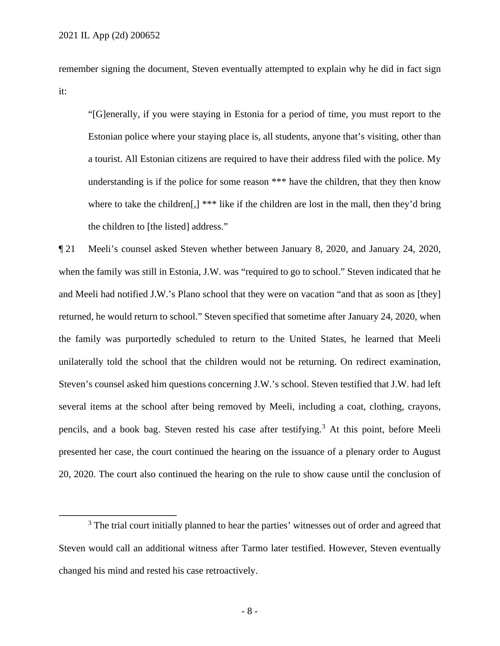remember signing the document, Steven eventually attempted to explain why he did in fact sign it:

 a tourist. All Estonian citizens are required to have their address filed with the police. My "[G]enerally, if you were staying in Estonia for a period of time, you must report to the Estonian police where your staying place is, all students, anyone that's visiting, other than understanding is if the police for some reason \*\*\* have the children, that they then know where to take the children[,] \*\*\* like if the children are lost in the mall, then they'd bring the children to [the listed] address."

 and Meeli had notified J.W.'s Plano school that they were on vacation "and that as soon as [they] the family was purportedly scheduled to return to the United States, he learned that Meeli pencils, and a book bag. Steven rested his case after testifying.<sup>3</sup> At this point, before Meeli ¶ 21 Meeli's counsel asked Steven whether between January 8, 2020, and January 24, 2020, when the family was still in Estonia, J.W. was "required to go to school." Steven indicated that he returned, he would return to school." Steven specified that sometime after January 24, 2020, when unilaterally told the school that the children would not be returning. On redirect examination, Steven's counsel asked him questions concerning J.W.'s school. Steven testified that J.W. had left several items at the school after being removed by Meeli, including a coat, clothing, crayons, presented her case, the court continued the hearing on the issuance of a plenary order to August 20, 2020. The court also continued the hearing on the rule to show cause until the conclusion of

 $3$  The trial court initially planned to hear the parties' witnesses out of order and agreed that Steven would call an additional witness after Tarmo later testified. However, Steven eventually changed his mind and rested his case retroactively.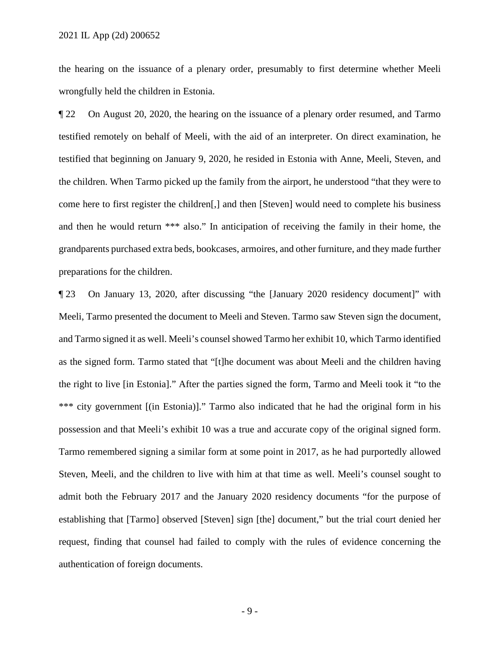the hearing on the issuance of a plenary order, presumably to first determine whether Meeli wrongfully held the children in Estonia.

 ¶ 22 On August 20, 2020, the hearing on the issuance of a plenary order resumed, and Tarmo grandparents purchased extra beds, bookcases, armoires, and other furniture, and they made further testified remotely on behalf of Meeli, with the aid of an interpreter. On direct examination, he testified that beginning on January 9, 2020, he resided in Estonia with Anne, Meeli, Steven, and the children. When Tarmo picked up the family from the airport, he understood "that they were to come here to first register the children[,] and then [Steven] would need to complete his business and then he would return \*\*\* also." In anticipation of receiving the family in their home, the preparations for the children.

 Meeli, Tarmo presented the document to Meeli and Steven. Tarmo saw Steven sign the document, and Tarmo signed it as well. Meeli's counsel showed Tarmo her exhibit 10, which Tarmo identified the right to live [in Estonia]." After the parties signed the form, Tarmo and Meeli took it "to the \*\*\* city government [(in Estonia)]." Tarmo also indicated that he had the original form in his possession and that Meeli's exhibit 10 was a true and accurate copy of the original signed form. Steven, Meeli, and the children to live with him at that time as well. Meeli's counsel sought to request, finding that counsel had failed to comply with the rules of evidence concerning the ¶ 23 On January 13, 2020, after discussing "the [January 2020 residency document]" with as the signed form. Tarmo stated that "[t]he document was about Meeli and the children having Tarmo remembered signing a similar form at some point in 2017, as he had purportedly allowed admit both the February 2017 and the January 2020 residency documents "for the purpose of establishing that [Tarmo] observed [Steven] sign [the] document," but the trial court denied her authentication of foreign documents.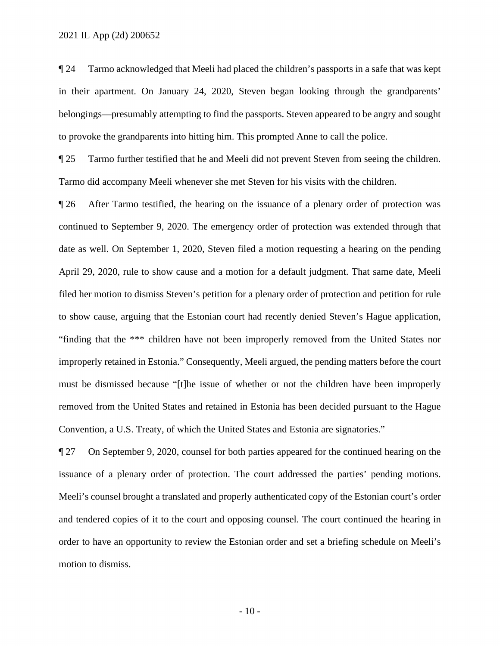¶ 24 Tarmo acknowledged that Meeli had placed the children's passports in a safe that was kept in their apartment. On January 24, 2020, Steven began looking through the grandparents' belongings—presumably attempting to find the passports. Steven appeared to be angry and sought to provoke the grandparents into hitting him. This prompted Anne to call the police.

**Tarmo further testified that he and Meeli did not prevent Steven from seeing the children.** Tarmo did accompany Meeli whenever she met Steven for his visits with the children.

 April 29, 2020, rule to show cause and a motion for a default judgment. That same date, Meeli Convention, a U.S. Treaty, of which the United States and Estonia are signatories." ¶ 26 After Tarmo testified, the hearing on the issuance of a plenary order of protection was continued to September 9, 2020. The emergency order of protection was extended through that date as well. On September 1, 2020, Steven filed a motion requesting a hearing on the pending filed her motion to dismiss Steven's petition for a plenary order of protection and petition for rule to show cause, arguing that the Estonian court had recently denied Steven's Hague application, "finding that the \*\*\* children have not been improperly removed from the United States nor improperly retained in Estonia." Consequently, Meeli argued, the pending matters before the court must be dismissed because "[t]he issue of whether or not the children have been improperly removed from the United States and retained in Estonia has been decided pursuant to the Hague

 $\P$  27 On September 9, 2020, counsel for both parties appeared for the continued hearing on the issuance of a plenary order of protection. The court addressed the parties' pending motions. Meeli's counsel brought a translated and properly authenticated copy of the Estonian court's order and tendered copies of it to the court and opposing counsel. The court continued the hearing in order to have an opportunity to review the Estonian order and set a briefing schedule on Meeli's motion to dismiss.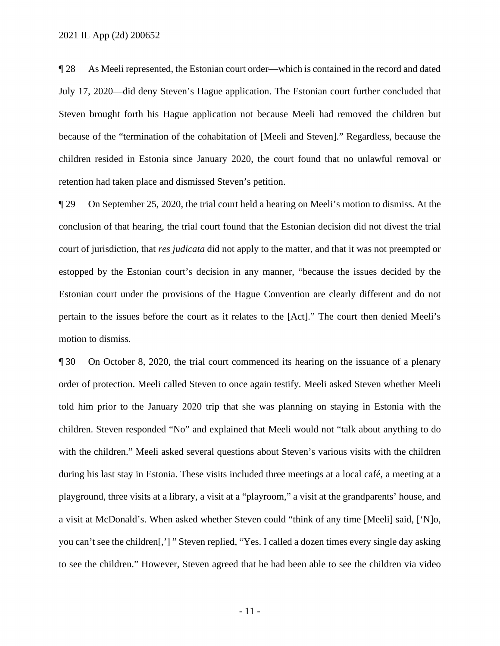¶ 28 As Meeli represented, the Estonian court order—which is contained in the record and dated Steven brought forth his Hague application not because Meeli had removed the children but July 17, 2020—did deny Steven's Hague application. The Estonian court further concluded that because of the "termination of the cohabitation of [Meeli and Steven]." Regardless, because the children resided in Estonia since January 2020, the court found that no unlawful removal or retention had taken place and dismissed Steven's petition.

 court of jurisdiction, that *res judicata* did not apply to the matter, and that it was not preempted or pertain to the issues before the court as it relates to the [Act]." The court then denied Meeli's motion to dismiss. ¶ 29 On September 25, 2020, the trial court held a hearing on Meeli's motion to dismiss. At the conclusion of that hearing, the trial court found that the Estonian decision did not divest the trial estopped by the Estonian court's decision in any manner, "because the issues decided by the Estonian court under the provisions of the Hague Convention are clearly different and do not

 order of protection. Meeli called Steven to once again testify. Meeli asked Steven whether Meeli children. Steven responded "No" and explained that Meeli would not "talk about anything to do with the children." Meeli asked several questions about Steven's various visits with the children you can't see the children[,'] " Steven replied, "Yes. I called a dozen times every single day asking **The 30** On October 8, 2020, the trial court commenced its hearing on the issuance of a plenary told him prior to the January 2020 trip that she was planning on staying in Estonia with the during his last stay in Estonia. These visits included three meetings at a local café, a meeting at a playground, three visits at a library, a visit at a "playroom," a visit at the grandparents' house, and a visit at McDonald's. When asked whether Steven could "think of any time [Meeli] said, ['N]o, to see the children." However, Steven agreed that he had been able to see the children via video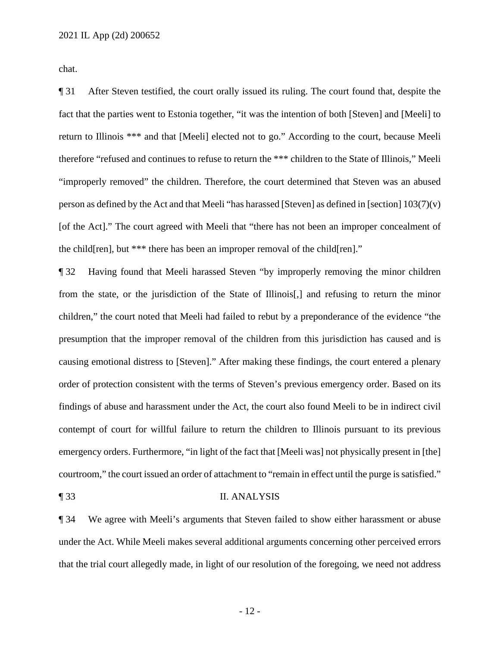chat.

 return to Illinois \*\*\* and that [Meeli] elected not to go." According to the court, because Meeli therefore "refused and continues to refuse to return the \*\*\* children to the State of Illinois," Meeli person as defined by the Act and that Meeli "has harassed [Steven] as defined in [section] 103(7)(v) [of the Act]." The court agreed with Meeli that "there has not been an improper concealment of the child[ren], but \*\*\* there has been an improper removal of the child[ren]." ¶ 31 After Steven testified, the court orally issued its ruling. The court found that, despite the fact that the parties went to Estonia together, "it was the intention of both [Steven] and [Meeli] to "improperly removed" the children. Therefore, the court determined that Steven was an abused

 ¶ 32 Having found that Meeli harassed Steven "by improperly removing the minor children children," the court noted that Meeli had failed to rebut by a preponderance of the evidence "the findings of abuse and harassment under the Act, the court also found Meeli to be in indirect civil from the state, or the jurisdiction of the State of Illinois[,] and refusing to return the minor presumption that the improper removal of the children from this jurisdiction has caused and is causing emotional distress to [Steven]." After making these findings, the court entered a plenary order of protection consistent with the terms of Steven's previous emergency order. Based on its contempt of court for willful failure to return the children to Illinois pursuant to its previous emergency orders. Furthermore, "in light of the fact that [Meeli was] not physically present in [the] courtroom," the court issued an order of attachment to "remain in effect until the purge is satisfied."

#### ¶ 33 II. ANALYSIS

 ¶ 34 We agree with Meeli's arguments that Steven failed to show either harassment or abuse under the Act. While Meeli makes several additional arguments concerning other perceived errors that the trial court allegedly made, in light of our resolution of the foregoing, we need not address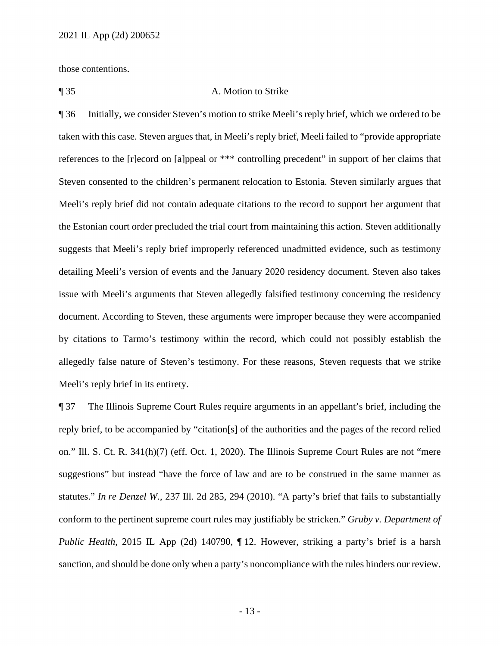those contentions.

## ¶ 35 A. Motion to Strike

 taken with this case. Steven argues that, in Meeli's reply brief, Meeli failed to "provide appropriate Meeli's reply brief did not contain adequate citations to the record to support her argument that issue with Meeli's arguments that Steven allegedly falsified testimony concerning the residency ¶ 36 Initially, we consider Steven's motion to strike Meeli's reply brief, which we ordered to be references to the [r]ecord on [a]ppeal or \*\*\* controlling precedent" in support of her claims that Steven consented to the children's permanent relocation to Estonia. Steven similarly argues that the Estonian court order precluded the trial court from maintaining this action. Steven additionally suggests that Meeli's reply brief improperly referenced unadmitted evidence, such as testimony detailing Meeli's version of events and the January 2020 residency document. Steven also takes document. According to Steven, these arguments were improper because they were accompanied by citations to Tarmo's testimony within the record, which could not possibly establish the allegedly false nature of Steven's testimony. For these reasons, Steven requests that we strike Meeli's reply brief in its entirety.

 conform to the pertinent supreme court rules may justifiably be stricken." *Gruby v. Department of*  ¶ 37 The Illinois Supreme Court Rules require arguments in an appellant's brief, including the reply brief, to be accompanied by "citation[s] of the authorities and the pages of the record relied on." Ill. S. Ct. R. 341(h)(7) (eff. Oct. 1, 2020). The Illinois Supreme Court Rules are not "mere suggestions" but instead "have the force of law and are to be construed in the same manner as statutes." *In re Denzel W.*, 237 Ill. 2d 285, 294 (2010). "A party's brief that fails to substantially *Public Health*, 2015 IL App (2d) 140790, ¶ 12. However, striking a party's brief is a harsh sanction, and should be done only when a party's noncompliance with the rules hinders our review.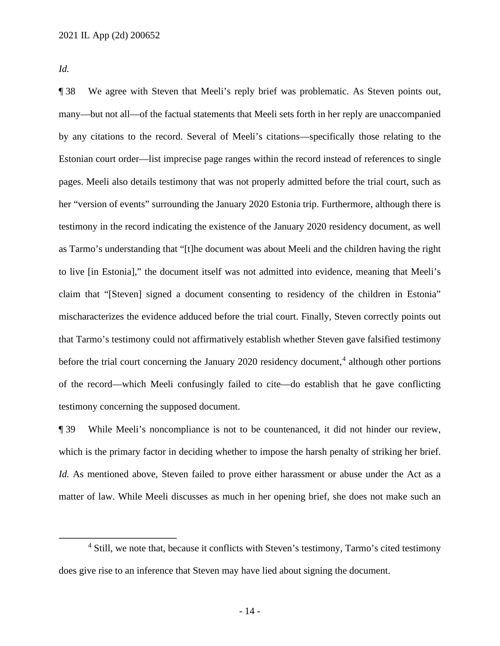*Id.* 

 ¶ 38 We agree with Steven that Meeli's reply brief was problematic. As Steven points out, many—but not all—of the factual statements that Meeli sets forth in her reply are unaccompanied pages. Meeli also details testimony that was not properly admitted before the trial court, such as testimony in the record indicating the existence of the January 2020 residency document, as well of the record—which Meeli confusingly failed to cite—do establish that he gave conflicting by any citations to the record. Several of Meeli's citations—specifically those relating to the Estonian court order—list imprecise page ranges within the record instead of references to single her "version of events" surrounding the January 2020 Estonia trip. Furthermore, although there is as Tarmo's understanding that "[t]he document was about Meeli and the children having the right to live [in Estonia]," the document itself was not admitted into evidence, meaning that Meeli's claim that "[Steven] signed a document consenting to residency of the children in Estonia" mischaracterizes the evidence adduced before the trial court. Finally, Steven correctly points out that Tarmo's testimony could not affirmatively establish whether Steven gave falsified testimony before the trial court concerning the January 2020 residency document,<sup>4</sup> although other portions testimony concerning the supposed document.

 *Id.* As mentioned above, Steven failed to prove either harassment or abuse under the Act as a matter of law. While Meeli discusses as much in her opening brief, she does not make such an ¶ 39 While Meeli's noncompliance is not to be countenanced, it did not hinder our review, which is the primary factor in deciding whether to impose the harsh penalty of striking her brief.

<sup>&</sup>lt;sup>4</sup> Still, we note that, because it conflicts with Steven's testimony, Tarmo's cited testimony does give rise to an inference that Steven may have lied about signing the document.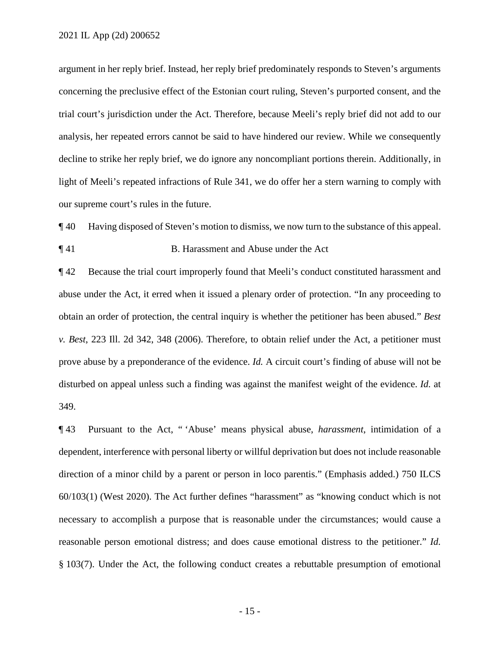light of Meeli's repeated infractions of Rule 341, we do offer her a stern warning to comply with argument in her reply brief. Instead, her reply brief predominately responds to Steven's arguments concerning the preclusive effect of the Estonian court ruling, Steven's purported consent, and the trial court's jurisdiction under the Act. Therefore, because Meeli's reply brief did not add to our analysis, her repeated errors cannot be said to have hindered our review. While we consequently decline to strike her reply brief, we do ignore any noncompliant portions therein. Additionally, in our supreme court's rules in the future.

¶ 40 Having disposed of Steven's motion to dismiss, we now turn to the substance of this appeal.

### ¶ 41 B. Harassment and Abuse under the Act

 prove abuse by a preponderance of the evidence. *Id.* A circuit court's finding of abuse will not be ¶ 42 Because the trial court improperly found that Meeli's conduct constituted harassment and abuse under the Act, it erred when it issued a plenary order of protection. "In any proceeding to obtain an order of protection, the central inquiry is whether the petitioner has been abused." *Best v. Best*, 223 Ill. 2d 342, 348 (2006). Therefore, to obtain relief under the Act, a petitioner must disturbed on appeal unless such a finding was against the manifest weight of the evidence. *Id.* at 349.

¶ 43 Pursuant to the Act, " 'Abuse' means physical abuse, *harassment*, intimidation of a dependent, interference with personal liberty or willful deprivation but does not include reasonable direction of a minor child by a parent or person in loco parentis." (Emphasis added.) 750 ILCS 60/103(1) (West 2020). The Act further defines "harassment" as "knowing conduct which is not necessary to accomplish a purpose that is reasonable under the circumstances; would cause a reasonable person emotional distress; and does cause emotional distress to the petitioner." *Id.*  § 103(7). Under the Act, the following conduct creates a rebuttable presumption of emotional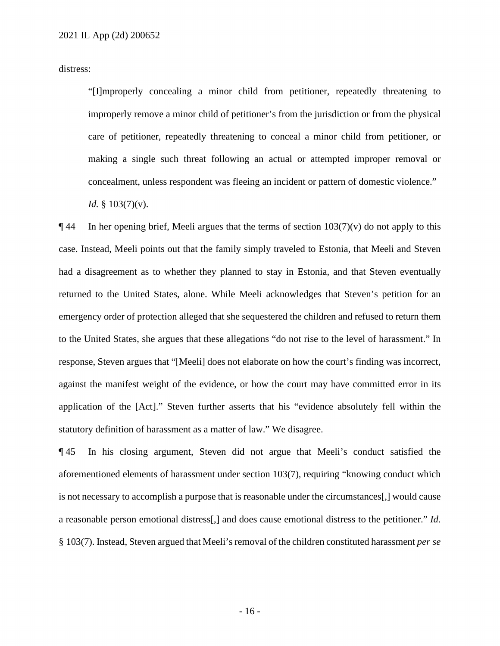distress:

"[I]mproperly concealing a minor child from petitioner, repeatedly threatening to improperly remove a minor child of petitioner's from the jurisdiction or from the physical care of petitioner, repeatedly threatening to conceal a minor child from petitioner, or making a single such threat following an actual or attempted improper removal or concealment, unless respondent was fleeing an incident or pattern of domestic violence."

*Id.* § 103(7)(v).

 $\P$  44 In her opening brief, Meeli argues that the terms of section 103(7)(v) do not apply to this case. Instead, Meeli points out that the family simply traveled to Estonia, that Meeli and Steven returned to the United States, alone. While Meeli acknowledges that Steven's petition for an application of the [Act]." Steven further asserts that his "evidence absolutely fell within the had a disagreement as to whether they planned to stay in Estonia, and that Steven eventually emergency order of protection alleged that she sequestered the children and refused to return them to the United States, she argues that these allegations "do not rise to the level of harassment." In response, Steven argues that "[Meeli] does not elaborate on how the court's finding was incorrect, against the manifest weight of the evidence, or how the court may have committed error in its statutory definition of harassment as a matter of law." We disagree.

 ¶ 45 In his closing argument, Steven did not argue that Meeli's conduct satisfied the § 103(7). Instead, Steven argued that Meeli's removal of the children constituted harassment *per se*  aforementioned elements of harassment under section 103(7), requiring "knowing conduct which is not necessary to accomplish a purpose that is reasonable under the circumstances[,] would cause a reasonable person emotional distress[,] and does cause emotional distress to the petitioner." *Id.*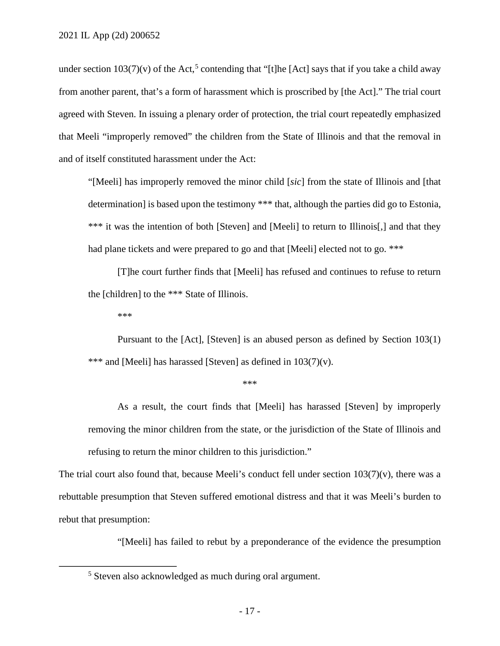that Meeli "improperly removed" the children from the State of Illinois and that the removal in under section  $103(7)(v)$  of the Act,<sup>5</sup> contending that "[t]he [Act] says that if you take a child away from another parent, that's a form of harassment which is proscribed by [the Act]." The trial court agreed with Steven. In issuing a plenary order of protection, the trial court repeatedly emphasized and of itself constituted harassment under the Act:

 "[Meeli] has improperly removed the minor child [*sic*] from the state of Illinois and [that determination] is based upon the testimony \*\*\* that, although the parties did go to Estonia, \*\*\* it was the intention of both [Steven] and [Meeli] to return to Illinois[,] and that they had plane tickets and were prepared to go and that [Meeli] elected not to go. \*\*\*

 [T]he court further finds that [Meeli] has refused and continues to refuse to return the [children] to the \*\*\* State of Illinois.

\*\*\*

Pursuant to the [Act], [Steven] is an abused person as defined by Section 103(1) \*\*\* and [Meeli] has harassed [Steven] as defined in 103(7)(v).

\*\*\*

 removing the minor children from the state, or the jurisdiction of the State of Illinois and As a result, the court finds that [Meeli] has harassed [Steven] by improperly refusing to return the minor children to this jurisdiction."

The trial court also found that, because Meeli's conduct fell under section  $103(7)(v)$ , there was a rebuttable presumption that Steven suffered emotional distress and that it was Meeli's burden to rebut that presumption:

"[Meeli] has failed to rebut by a preponderance of the evidence the presumption

<sup>&</sup>lt;sup>5</sup> Steven also acknowledged as much during oral argument.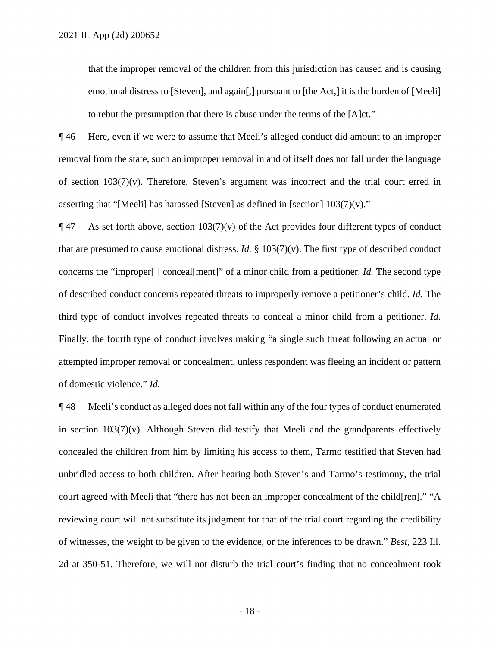that the improper removal of the children from this jurisdiction has caused and is causing emotional distress to [Steven], and again[,] pursuant to [the Act,] it is the burden of [Meeli] to rebut the presumption that there is abuse under the terms of the [A]ct."

 ¶ 46 Here, even if we were to assume that Meeli's alleged conduct did amount to an improper asserting that "[Meeli] has harassed [Steven] as defined in [section]  $103(7)(v)$ ." asserting that "[Meeli] has harassed [Steven] as defined in [section]  $103(7)(v)$ ."<br>
¶ 47 As set forth above, section 103(7)(v) of the Act provides four different types of conduct removal from the state, such an improper removal in and of itself does not fall under the language of section 103(7)(v). Therefore, Steven's argument was incorrect and the trial court erred in

 concerns the "improper[ ] conceal[ment]" of a minor child from a petitioner. *Id.* The second type Finally, the fourth type of conduct involves making "a single such threat following an actual or of domestic violence." *Id.*  that are presumed to cause emotional distress. *Id.* § 103(7)(v). The first type of described conduct of described conduct concerns repeated threats to improperly remove a petitioner's child. *Id.* The third type of conduct involves repeated threats to conceal a minor child from a petitioner. *Id.*  attempted improper removal or concealment, unless respondent was fleeing an incident or pattern

 in section 103(7)(v). Although Steven did testify that Meeli and the grandparents effectively concealed the children from him by limiting his access to them, Tarmo testified that Steven had court agreed with Meeli that "there has not been an improper concealment of the child[ren]." "A of witnesses, the weight to be given to the evidence, or the inferences to be drawn." *Best*, 223 Ill. ¶ 48 Meeli's conduct as alleged does not fall within any of the four types of conduct enumerated unbridled access to both children. After hearing both Steven's and Tarmo's testimony, the trial reviewing court will not substitute its judgment for that of the trial court regarding the credibility 2d at 350-51. Therefore, we will not disturb the trial court's finding that no concealment took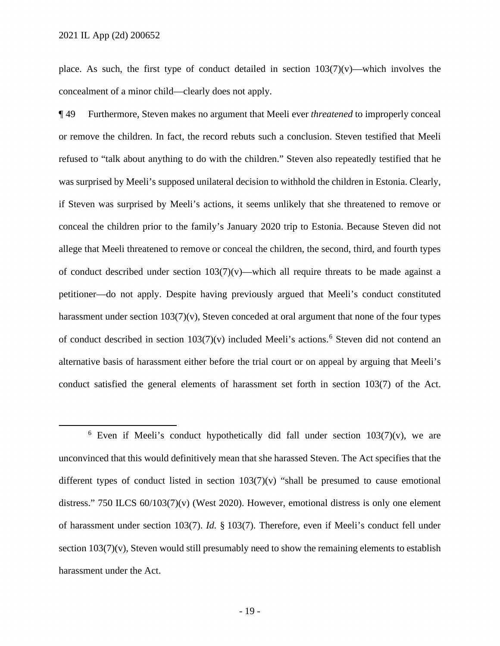place. As such, the first type of conduct detailed in section  $103(7)(v)$ —which involves the concealment of a minor child—clearly does not apply.

 ¶ 49 Furthermore, Steven makes no argument that Meeli ever *threatened* to improperly conceal or remove the children. In fact, the record rebuts such a conclusion. Steven testified that Meeli refused to "talk about anything to do with the children." Steven also repeatedly testified that he conceal the children prior to the family's January 2020 trip to Estonia. Because Steven did not allege that Meeli threatened to remove or conceal the children, the second, third, and fourth types of conduct described under section  $103(7)(v)$ —which all require threats to be made against a harassment under section 103(7)(v), Steven conceded at oral argument that none of the four types of conduct described in section 103(7)(v) included Meeli's actions. 6 Steven did not contend an was surprised by Meeli's supposed unilateral decision to withhold the children in Estonia. Clearly, if Steven was surprised by Meeli's actions, it seems unlikely that she threatened to remove or petitioner—do not apply. Despite having previously argued that Meeli's conduct constituted alternative basis of harassment either before the trial court or on appeal by arguing that Meeli's conduct satisfied the general elements of harassment set forth in section 103(7) of the Act.

<sup>&</sup>lt;sup>6</sup> Even if Meeli's conduct hypothetically did fall under section  $103(7)(v)$ , we are of harassment under section 103(7). *Id.* § 103(7). Therefore, even if Meeli's conduct fell under unconvinced that this would definitively mean that she harassed Steven. The Act specifies that the different types of conduct listed in section  $103(7)(v)$  "shall be presumed to cause emotional distress." 750 ILCS 60/103(7)(v) (West 2020). However, emotional distress is only one element section  $103(7)(v)$ , Steven would still presumably need to show the remaining elements to establish harassment under the Act.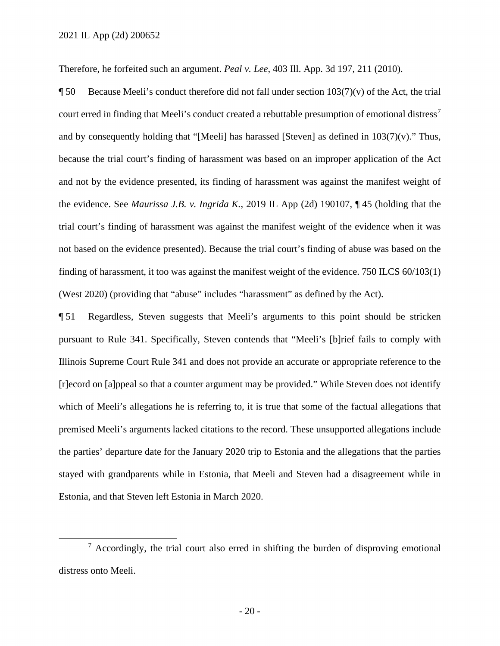Therefore, he forfeited such an argument. *Peal v. Lee*, 403 Ill. App. 3d 197, 211 (2010).

**The Secause Meeli's conduct therefore did not fall under section 103(7)(v) of the Act, the trial** court erred in finding that Meeli's conduct created a rebuttable presumption of emotional distress<sup>7</sup> and by consequently holding that "[Meeli] has harassed [Steven] as defined in  $103(7)(v)$ ." Thus, because the trial court's finding of harassment was based on an improper application of the Act and not by the evidence presented, its finding of harassment was against the manifest weight of the evidence. See *Maurissa J.B. v. Ingrida K.*, 2019 IL App (2d) 190107, ¶ 45 (holding that the trial court's finding of harassment was against the manifest weight of the evidence when it was not based on the evidence presented). Because the trial court's finding of abuse was based on the finding of harassment, it too was against the manifest weight of the evidence. 750 ILCS 60/103(1) (West 2020) (providing that "abuse" includes "harassment" as defined by the Act).

 stayed with grandparents while in Estonia, that Meeli and Steven had a disagreement while in Estonia, and that Steven left Estonia in March 2020. ¶ 51 Regardless, Steven suggests that Meeli's arguments to this point should be stricken pursuant to Rule 341. Specifically, Steven contends that "Meeli's [b]rief fails to comply with Illinois Supreme Court Rule 341 and does not provide an accurate or appropriate reference to the [r]ecord on [a]ppeal so that a counter argument may be provided." While Steven does not identify which of Meeli's allegations he is referring to, it is true that some of the factual allegations that premised Meeli's arguments lacked citations to the record. These unsupported allegations include the parties' departure date for the January 2020 trip to Estonia and the allegations that the parties

 $\frac{7}{1}$  Accordingly, the trial court also erred in shifting the burden of disproving emotional distress onto Meeli.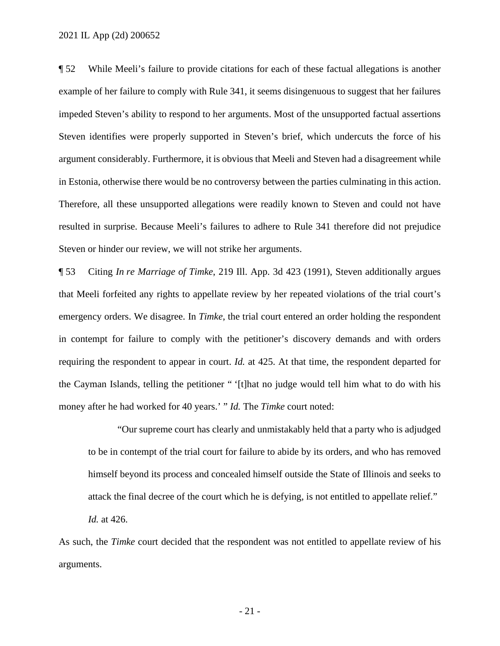example of her failure to comply with Rule 341, it seems disingenuous to suggest that her failures impeded Steven's ability to respond to her arguments. Most of the unsupported factual assertions argument considerably. Furthermore, it is obvious that Meeli and Steven had a disagreement while resulted in surprise. Because Meeli's failures to adhere to Rule 341 therefore did not prejudice ¶ 52 While Meeli's failure to provide citations for each of these factual allegations is another Steven identifies were properly supported in Steven's brief, which undercuts the force of his in Estonia, otherwise there would be no controversy between the parties culminating in this action. Therefore, all these unsupported allegations were readily known to Steven and could not have Steven or hinder our review, we will not strike her arguments.

 that Meeli forfeited any rights to appellate review by her repeated violations of the trial court's emergency orders. We disagree. In *Timke*, the trial court entered an order holding the respondent money after he had worked for 40 years.' " *Id.* The *Timke* court noted: ¶ 53 Citing *In re Marriage of Timke*, 219 Ill. App. 3d 423 (1991), Steven additionally argues in contempt for failure to comply with the petitioner's discovery demands and with orders requiring the respondent to appear in court. *Id.* at 425. At that time, the respondent departed for the Cayman Islands, telling the petitioner " '[t]hat no judge would tell him what to do with his

"Our supreme court has clearly and unmistakably held that a party who is adjudged to be in contempt of the trial court for failure to abide by its orders, and who has removed himself beyond its process and concealed himself outside the State of Illinois and seeks to attack the final decree of the court which he is defying, is not entitled to appellate relief."

*Id.* at 426.

As such, the *Timke* court decided that the respondent was not entitled to appellate review of his arguments.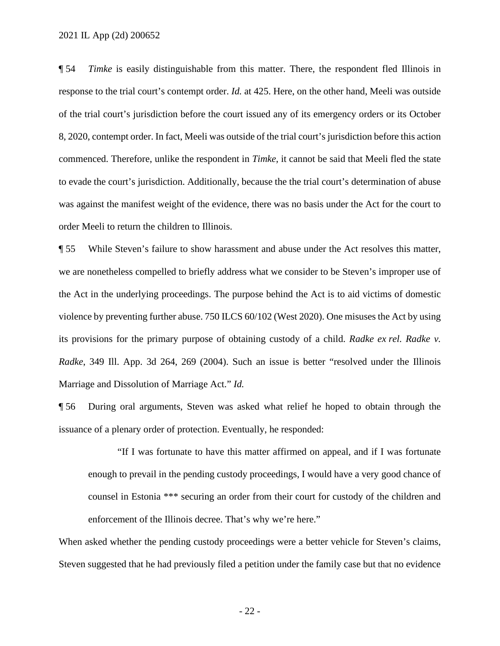¶ 54 *Timke* is easily distinguishable from this matter. There, the respondent fled Illinois in response to the trial court's contempt order. *Id.* at 425. Here, on the other hand, Meeli was outside 8, 2020, contempt order. In fact, Meeli was outside of the trial court's jurisdiction before this action commenced. Therefore, unlike the respondent in *Timke*, it cannot be said that Meeli fled the state of the trial court's jurisdiction before the court issued any of its emergency orders or its October to evade the court's jurisdiction. Additionally, because the the trial court's determination of abuse was against the manifest weight of the evidence, there was no basis under the Act for the court to order Meeli to return the children to Illinois.

 its provisions for the primary purpose of obtaining custody of a child. *Radke ex rel. Radke v. Radke*, 349 Ill. App. 3d 264, 269 (2004). Such an issue is better "resolved under the Illinois Marriage and Dissolution of Marriage Act." *Id.* ¶ 55 While Steven's failure to show harassment and abuse under the Act resolves this matter, we are nonetheless compelled to briefly address what we consider to be Steven's improper use of the Act in the underlying proceedings. The purpose behind the Act is to aid victims of domestic violence by preventing further abuse. 750 ILCS 60/102 (West 2020). One misuses the Act by using

¶ 56 During oral arguments, Steven was asked what relief he hoped to obtain through the issuance of a plenary order of protection. Eventually, he responded:

 "If I was fortunate to have this matter affirmed on appeal, and if I was fortunate enough to prevail in the pending custody proceedings, I would have a very good chance of counsel in Estonia \*\*\* securing an order from their court for custody of the children and enforcement of the Illinois decree. That's why we're here."

 Steven suggested that he had previously filed a petition under the family case but that no evidence When asked whether the pending custody proceedings were a better vehicle for Steven's claims,

- 22 -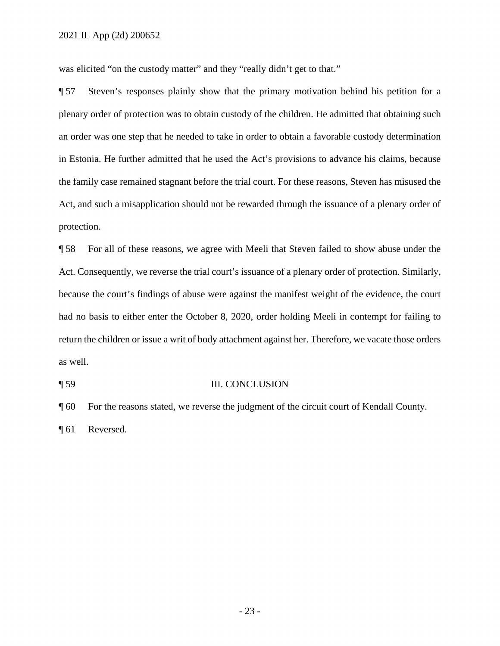was elicited "on the custody matter" and they "really didn't get to that."

**The Steven's responses plainly show that the primary motivation behind his petition for a** plenary order of protection was to obtain custody of the children. He admitted that obtaining such an order was one step that he needed to take in order to obtain a favorable custody determination in Estonia. He further admitted that he used the Act's provisions to advance his claims, because the family case remained stagnant before the trial court. For these reasons, Steven has misused the Act, and such a misapplication should not be rewarded through the issuance of a plenary order of protection.

 ¶ 58 For all of these reasons, we agree with Meeli that Steven failed to show abuse under the had no basis to either enter the October 8, 2020, order holding Meeli in contempt for failing to return the children or issue a writ of body attachment against her. Therefore, we vacate those orders Act. Consequently, we reverse the trial court's issuance of a plenary order of protection. Similarly, because the court's findings of abuse were against the manifest weight of the evidence, the court as well.

#### ¶ 59 III. CONCLUSION

¶ 60 For the reasons stated, we reverse the judgment of the circuit court of Kendall County.

¶ 61 Reversed.